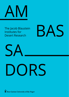

The Jacob Blaustein Institutes for Desert Research





# DORS

**Ben-Gurion University of the Negev**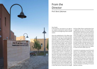

# From the Director

#### Prof. Boris Zaltzman

#### Dear Reader,

In this brochure, we present to you eight of our students, sharing short stories of young researchers at the beginning of their scientific careers.

Since the establishment of the Albert Katz International School for Desert Studies more than 17 years ago, the Jacob Blaustein Institutes for Desert Research (BIDR) have been privileged to welcome young scholars from all around the world. The American Associates Student Village unites students from the West, the Middle East, Asia and Africa. Israeli students live together with those from Jordan and Palestine. Upon graduation, some of these students join the private sector, some remain in academia and some educate the next generation. However, in whichever area or country they end up, our graduates bring with them the unique atmosphere of peace. openness, cooperation and creativity that they enjoyed and learned to create at Sede Boqer. In my view, both the School and the Institutes, as a whole, are essential elements of the Ben-Gurion Memorial Site, working to implement David Ben-Gurion's vision of the Negev. Many of us have had the chance to witness the way in which Ben-Gurion University has changed

the face of Beer-Sheva, transforming it from a neglected city into a flourishing center, spearheading innovations in hi-tech, medicine and education. Now may be the time for the Sede Boqer Campus to do the same further south in the Negey. Our unique location gives us a great opportunity, both to excel in Desert Research and to implement our social and educational mission. It goes without saying that our students play a crucial role in the research, but they also help us develop solutions to the broader societal issues. We, the faculty and the students, are a team united by a common dream: to make the Negev bloom and, ideally, to make the world a better place too.

Hundreds of our graduates around the world serve as our ambassadors of peace. The diversity of personalities constituting our student team is illustrated in this brochure. What backgrounds do they come from? What do the Institutes give to them? How do they contribute to the Institutes? And finally, what do our ambassadors look like? I hope that through looking at our young ambassadors and learning their stories, you will feel the unique atmosphere prevailing at the Jacob Blaustein Institutes.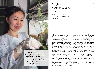

# en and Assylay and the Second Street of the Second Street of the Second Street of the Second Street of the Second Street of the Second Street of the Second Street of the Second Street of the Second Street of the Second Str Kurmanbayeva

#### Kazakhstan

The French Associates Institute for Agriculture and Biotechnology of Drylands

Assylay Kurmanbayeva grew up in the Central Asian country of Kazakhstan, in the town of Khromtau, the site of a mine that produces a third of the world's supply of chromium. The daughter of a miner and a nurse, Assylay, upon receiving a government scholarship, moved to Astana, the capital of Kazakhstan, to attend university. After earning her master's degree in biotechnology, she worked for three and a half years at the National Center for Biotechnology in Astana. Realizing that since science is still a young field in Kazakhstan, she wanted to do her doctoral work elsewhere, she moved to the BIDR to work with Prof. Moshe Sagi and pursue her PhD in the French Associates Institute for Agriculture and Biotechnology of Drylands. Here she studies halophytes, plants that can grow under the saline conditions often found in arid regions. She specifically tests the effect of sulfur on two halophytes, salicornia and sarcocornia, which are eaten, primarily in Europe, in various preparations. Her aim is to increase the productivity and quality of these important foodstuffs. Assylay

has found the BIDR to be extremely productive ground, academically, and her studies here have pushed her to a higher scientific level. As she puts it, "before coming here, I thought I knew something about science but in fact, the more you know, the more you understand what you don't know. When I find new unexpected results, I have to go deeper." She also loves the freedom and autonomy here, coupled with the strong support of her supervisor, and she notes that at the BIDR, "you are judged only according to your knowledge," not by background or status symbols. Ultimately, she hopes to return to Kazakhstan and join the members of the growing young Kazakh scientific community who, as she says, "are trying to absorb all the good things from around the world in order to implement what we learn abroad at home." According to Assylay, the good things at the BIDR are myriad, including a low-stress, mind-freeing environment and the unwavering support of her supervisor.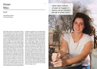### Vivian Mau

Brazil

Zuckerberg Institute for Water Research

Vivian Mau was born and raised in Brazil, before moving with her parents at the age of 15 to Montreal, Canada. There she did her undergraduate degree at McGill University in environmental engineering, spending one summer at the BIDR working with Prof. Amit Gross in the Zuckerberg Institute for Water Research (SIWR). In 2014, she made aliyah to Israel, and began her master's degree under the supervision of Prof. Gross in the ZIWR's Department of Environmental Hydrology and Microbiology. She has just begun the PhD program, extending her MSc research. Vivian studies the treatment of wet organic waste, specifically chicken manure. She examines a specific treatment technology called hydrothermal carbonization that uses heat and pressure to essentially transform the manure into coal. As she puts it, "what takes millions of years to happen in nature, we are doing in the lab in a few hours." This coal can then be used as an energy source, which was the focus of her master's work. For her PhD research, Vivian will also examine how this coal can be used as a soil amendment to improve soil characteristics and as an absorbent for

the gases produced in the carbonization process. In addition, the process has a liquid phase full of nutrients that can potentially be used as fertilizer for agricultural crops. Thus, Vivian's research examines ways that poultry manure, a potential pollutant of water bodies, can be transformed into a useful product. After completing her degree, she hopes to stay in Israel, ideally working in the field of environmental engineering, trying to put her research into practice. She believes that her education and experience here will serve her well since it has, as she notes, "given me a great deal of independence, making me able to work on my own as well as on a team." She also emphasizes the strong connections here between her fellow graduate students, as well as between students and their supervisors, describing conversations with faculty members about the philosophy of science and informal discussions with student colleagues reviewing key concepts in the field. Most importantly, Vivian is excited about and dedicated to her research, which she hopes can be a useful tool in the larger world.

"what takes millions of years to happen in nature, we are doing in the lab in a few hours."

6 7

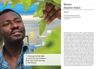

# Kwame Aidoo

#### Ghana

The French Associates Institute for Agriculture and Biotechnology of Drylands

Moses Aidoo grew up in Dunkwa-on-Offin, a small farming village in the Central Region of southern Ghana. From there, he moved to do his undergraduate studies at the University for Development Studies in northern Ghana. After completing his studies, he relocated first to Kumasi, a commercial city in the heart of Ghana, and then, after winning a scholarship, to the Faculty of Agriculture of the Hebrew University in Rehovot, Israel to pursue his master's degree. After performing laboratory work at the BIDR, he decided to continue his PhD here in the French Associates Institute for Agriculture and Biotechnology of Drylands, working with Profs. Aaron Fait, Shimon Rachmilevitch, and Naftali Lazarovitch. Moses studies the mechanisms that plants use to survive low temperature stress, especially at the root zone. Specifically, he examines the effects of cold temperatures on bell pepper roots to determine how certain plant genotypes develop a tolerance to this stress. Moses credits his supervisors with giving him the tools he needs to develop as a scientist. As he puts it, "they give me all the support I want anytime I ask" and this has in turn, "given me the opportunity to discover my scientific potential." He believes that the entire environment at the BIDR has allowed him to develop his own stress-tolerance mechanisms, noting that he has "learned to manage my own affairs and work, making me feel able to confront any situation that may come my way in the future." Moses hopes that after finishing his PhD, he will return to Ghana, ideally to secure a university position, as he says, "in order to impart there what I have learned here."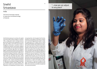## <sup>10</sup> <sup>11</sup> Snehil "...now we can adjust Srivastava

India

The French Associates Institute for Agriculture and Biotechnology of Drylands

Snehil Sarkari grew up in Lucknow, the capital city of the state of Uttar Pradesh in northern India—a large urban center, hosting numerous government offices, with a population of more than two million. From there she moved to Bangalore University in southern India to complete her bachelor's and master's degrees in biotechnology. Her journey then brought her to Israel three years ago when her husband began a postdoctoral position at the BIDR in the French Associates Institute for Agriculture and Biotechnology of Drylands. Snehil took a hiatus from her academic work to look after their infant son. But after two years, Snehil and her husband decided that she should resume her career by entering the graduate program at the French Associates Institute for Agriculture and Biotechnology of Drylands to complete another master's degree. She gives much credit to her husband as both an inspiration, in his dedication to science, and as

an equal partner, who has given her the time, assistance, and support to be both a mother and a hard-working graduate student. Under the supervision of Dr. Noemi Tel-Zur, Snehil studies grafted plants, specifically citrus trees. She examines whether the grafted shoot affects the tree roots and vice versa to determine whether and how the shoot-root interactions affect the quality of the resulting citrus fruit, *Citrus reticulate*. She describes the BIDR as a "fantastic place" that is "accepting of all kinds of people from all over the world." Snehil hopes to continue with her PhD work in an as yet undetermined location, but she knows that wherever she and her family go next, she will take with her the experimental techniques she learned here, as well as the ability to adapt. As Snehil puts it, "now we can adjust to any place," proving that after her experience at the BIDR, she too can be successfully transplanted into new environments.

to any place"

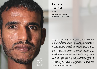

# **Ramadan** Abu Rjal

#### Israel

The Swiss Institute for Dryland Environmental and Energy Research

Ramadan Abu Rjal was born in the unrecognized village of El Ser, moving with his family when he was eight years old to Shaqib al-Salam or Segev Shalom, one of seven Bedouin townships in the Negev Desert in southern Israel. Currently, he is a PhD student in the Alexandre Yersin Department of Solar Energy and Environmental Physics, Swiss Institute for Dryland Environmental and Energy Research, under the supervision of Profs. Isaak Rubinstein, Boris Zaltzman and Leonid Prigozhin. Ramadan studies the electrodiffusion of ions in an aqueous medium. Within this broader topic, he focuses on a phenomenon known as concentration polarization, which occurs when a DC electric current passes through a permselective interface. Although this may sound esoteric to the non-expert, this phenomenon plays a major role in water desalination, through the membrane technique called electrodialysis, and also is important in

various processes that have a wide range of applications including energy conservation in fuel cells, semiconductor device technology, and DNA analysis. Ramadan considers the BIDR to be an "oasis in the desert" and believes that pursuing his graduate studies here is, as he puts it, "one of the best decisions I have ever made." He cites the unfailing and kind support and guidance, in matters practical, intellectual and emotional, proffered by his supervisors as key to his successful academic pursuits. Ramadan also looks to his mother as an inspiration in her strength and perseverance in the face of obstacles. As he states, "she never gives up…whatever I have become today is only because of her." This deep well of both personal and professional support will surely provide sustenance for Ramadan in all his future endeavors.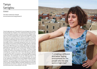## $T$ anya  $\hspace{1.5cm}$  Tanya  $\hspace{1.5cm}$  Tanya  $\hspace{1.5cm}$  Tanya  $\hspace{1.5cm}$  Tanya  $\hspace{1.5cm}$  Tanya  $\hspace{1.5cm}$  Tanya  $\hspace{1.5cm}$  Tanya  $\hspace{1.5cm}$  Tanya  $\hspace{1.5cm}$  Tanya  $\hspace{1.5cm}$  Tanya  $\hspace{1.5cm}$  Tanya  $\hspace{1.5cm}$  Tan Saroglou

Greece

The Swiss Institute for Dryland Environmental and Energy Research

Tanya Saroglou grew up in Thessaloniki, the second largest city in Greece. During and after the completion of her undergraduate and graduate work in the United Kingdom at Kingston University, University College London, and the University of Edinburgh, she found herself repeatedly crossing paths, even via her landlady in Greece, with Prof. Isaac Meir, a compatriot and researcher in desert architecture in the Bona Terra Department of Man in the Desert, located within the Swiss Institute for Dryland Environmental and Energy Research (SIDEER). Since she had studied architecture and was deeply involved in sustainable development work, this connection and resulting communications seemed increasingly propitious, especially given Greece's growing economic instability. Ultimately, she came here to pursue her PhD, focusing on the sustainability of high-rise buildings, specifically examining ways in which to reduce their energy consumption through design, rather than the use of technologies. This design strategy considers the relation of the building to the climate in which it is located, a thinking that, as Tanya notes, hasn't historically been very apparent in the planning of high-rise structures. Tanya acknowledges that while it might seem "a bit of a contradiction to be studying high-rise buildings in Sede Boger," she emphasizes not just the relative proximity to Tel Aviv but also the strong academic community at the BIDR. She served on the organizing committee of the annual SIDEER Graduate Student Symposium, which was a great success and for Tanya, a "very important experience." By making buildings more climatically responsive, she hopes to work toward "creating a different and better feeling environment for the people who live and work in high-rises," perhaps bringing a sense of the environment here to improving life in the cities.

 "...creating a different and better feeling environment for the people who live and work in high-rises"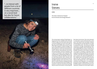"...to interact with people from a lot of different countries is very important… on a social level but also for future collaborations."

# Irene and the set of the set of the set of the set of the set of the set of the set of the set of the set of the set of the set of the set of the set of the set of the set of the set of the set of the set of the set of the Steves

#### USA

The Swiss Institute for Dryland Environmental and Energy Research

The remote desert setting of Sede Boqer is a long way from the crowded hustle and bustle of Silicon Valley, but Irene Steves sees certain connections between her home in the California Bay Area and the BIDR. Here in the first year of her MSc program in Desert Ecology in the Swiss Institute for Dryland Environmental and Energy Research, Irene notes that both places share a vibrant international community, environmentally conscious thinking, and a spirit of innovation and creativity. After completing her undergraduate degree at the University of California, Berkeley, Irene held an internship position with a woman who had done graduate and postdoctoral work at the BIDR. Inspired, Irene came here to work with Prof. Berry Pinshow, studying arthropod burrows, primarily the burrows of spiders and scorpions, to discover how the burrow design features assist the animals in interacting with

their desert environment. She is also interested in conservation causes and the way that, as she puts it, "the research tools, techniques, methods and thinking that I am learning here can help in conservation work." Her focus on making connections, through interdisciplinary work and bringing together science and policy, has been sharpened by the campus community at the BIDR. She points to the variety of studentrun projects, including a volunteer food cooperative, jointly operated with community members, that offers local organic dry goods once a month. She notes the significance of this collaborative international community when she says, "having the opportunity to interact with people from a lot of different countries is very important…on a social level but also for future collaborations." For Irene, the BIDR academic community will serve as an inspiration, whatever her future path may be.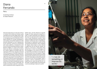# Ferrando

Peru

Zuckerberg Institute for Water Research

Diana Ferrando grew up in the town of Piura in northern Peru, whose arid climate closely resembles that of Israel's Negev Desert. Near the conclusion of her undergraduate studies in civil engineering at the University of Piura, Diana worked on a project developing a recirculating vertical flow wetland to treat domestic wastewater for use in irrigating trees at her university, carried out in partnership with Israeli academics, including Prof. Amit Gross from the Zuckerberg Institute for Water Research (ZIWR). As a result of the project, Diana was offered a scholarship to pursue her master's degree at the BIDR under the supervision of Prof. Gross. She then continued in the PhD program in the ZIWR's Department of Desalination and Water Treatment under the supervision of Prof. Moshe Herzberg and will submit her dissertation in the near future. In her research, Diana focused on biofouling, the build-up of sticky substances, called biofilm, on membranes during the desalination process known as reverse osmosis. Specifically, she studied extracellular polymeric substances, which constitute the main component of the

biofilm layer, and the influence of specific changes on these substances' properties in order to reduce biofouling, thus helping to decrease the operational and maintenance costs of water desalination systems. Diana speaks very highly of the warm and supportive academic community here in Sede Boqer, describing it as "a big family" in which she felt "protected and cared about." After completing her degree, Diana hopes to enter industry to apply what she has learned. Ideally, she hopes to, as she puts it, "bring what I have learned here in Israel, the technologies and the knowledge, to my country of Peru." Just as importantly, she hopes to encourage the Peruvian government and people to begin prioritizing water treatment and environmental thinking to plan ahead for future water scarcity since her country does not have the economic resources to just "fix the problem" after it emerges. In all her undertakings, Diana is inspired by her nearly two-year-old son. As she states, "he always keeps me thinking that I can do something to improve his world."